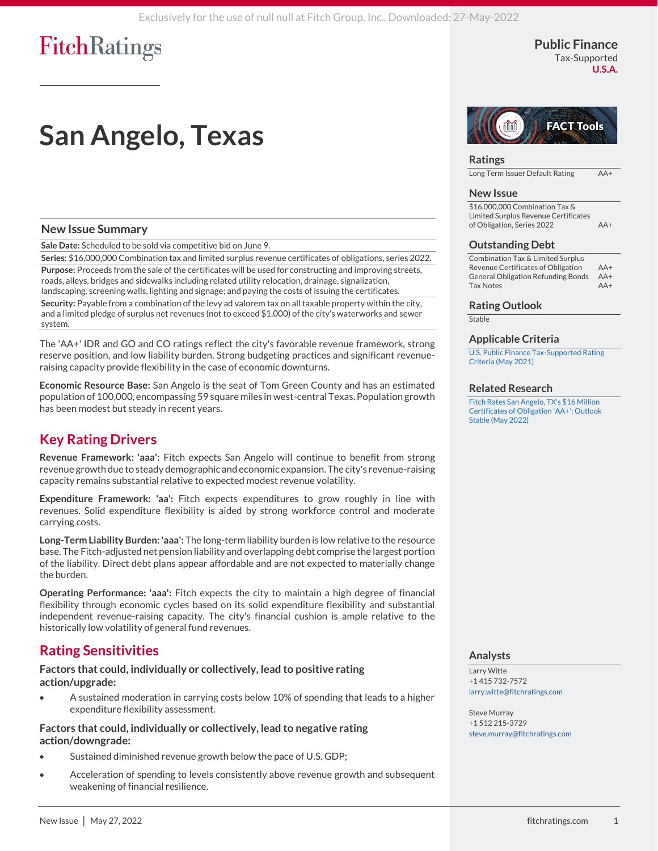### **Public Finance** Tax-Supported

**U.S.A.**

# **San Angelo, Texas**

### **New Issue Summary**

**Sale Date:** Scheduled to be sold via competitive bid on June 9.

**Series:** \$16,000,000 Combination tax and limited surplus revenue certificates of obligations, series 2022. **Purpose:** Proceeds from the sale of the certificates will be used for constructing and improving streets, roads, alleys, bridges and sidewalks including related utility relocation, drainage, signalization, landscaping, screening walls, lighting and signage; and paying the costs of issuing the certificates. **Security:** Payable from a combination of the levy ad valorem tax on all taxable property within the city, and a limited pledge of surplus net revenues (not to exceed \$1,000) of the city's waterworks and sewer system.

The 'AA+' IDR and GO and CO ratings reflect the city's favorable revenue framework, strong reserve position, and low liability burden. Strong budgeting practices and significant revenueraising capacity provide flexibility in the case of economic downturns.

**Economic Resource Base:** San Angelo is the seat of Tom Green County and has an estimated population of 100,000, encompassing 59 square miles in west-central Texas. Population growth has been modest but steady in recent years.

### **Key Rating Drivers**

**Revenue Framework: 'aaa':** Fitch expects San Angelo will continue to benefit from strong revenue growth due to steady demographic and economic expansion. The city's revenue-raising capacity remains substantial relative to expected modest revenue volatility.

**Expenditure Framework: 'aa':** Fitch expects expenditures to grow roughly in line with revenues. Solid expenditure flexibility is aided by strong workforce control and moderate carrying costs.

**Long-Term Liability Burden: 'aaa':** The long-term liability burden is low relative to the resource base. The Fitch-adjusted net pension liability and overlapping debt comprise the largest portion of the liability. Direct debt plans appear affordable and are not expected to materially change the burden.

**Operating Performance: 'aaa':** Fitch expects the city to maintain a high degree of financial flexibility through economic cycles based on its solid expenditure flexibility and substantial independent revenue-raising capacity. The city's financial cushion is ample relative to the historically low volatility of general fund revenues.

### **Rating Sensitivities**

### **Factors that could, individually or collectively, lead to positive rating action/upgrade:**

• A sustained moderation in carrying costs below 10% of spending that leads to a higher expenditure flexibility assessment.

### **Factors that could, individually or collectively, lead to negative rating action/downgrade:**

- Sustained diminished revenue growth below the pace of U.S. GDP;
- Acceleration of spending to levels consistently above revenue growth and subsequent weakening of financial resilience.



### **Ratings**

Long Term Issuer Default Rating AA+

### **New Issue**

\$16,000,000 Combination Tax & Limited Surplus Revenue Certificates of Obligation, Series 2022 AA+

### **Outstanding Debt**

Combination Tax & Limited Surplus Revenue Certificates of Obligation AA+ General Obligation Refunding Bonds AA+ Tax Notes AA+

### **Rating Outlook**

Stable

### **Applicable Criteria**

[U.S. Public Finance Tax-Supported Rating](https://app.fitchconnect.com/search/research/article/RPT_10158564?jwt=eyJhbGciOiJIUzUxMiJ9.eyJzdWIiOiJ3YXRlcm1hcmsiLCJ1c2VySUQiOiI1ZDdhYWYxZDc5MjQ4ZjAwMDFhODQyYjMiLCJkb2NJRCI6IkZSX1JQVF8xMDIwMzI0NiIsIlVVSUQiOiI4ZjE0MjI1Mi1kZmVkLTQ4OGQtOTViYy01MDZhY2I2ZmQwMWYiLCJjbGllbnRJRCI6IjJVZ2ZqU3ZFbjEwUDlMNVkxUWRYUWgiLCJ0aW1lc3RhbXAiOnsibmFubyI6MTE1ODU2MDAwLCJ5ZWFyIjoyMDIyLCJtb250aFZhbHVlIjo1LCJkYXlPZk1vbnRoIjoyNywiaG91ciI6MjEsIm1pbnV0ZSI6MSwic2Vjb25kIjo1MSwiZGF5T2ZXZWVrIjoiRlJJREFZIiwiZGF5T2ZZZWFyIjoxNDcsIm1vbnRoIjoiTUFZIiwiY2hyb25vbG9neSI6eyJpZCI6IklTTyIsImNhbGVuZGFyVHlwZSI6Imlzbzg2MDEifX19.U-zePgn6P2rFXHmhpjL_e1vDm6mgMfBrdAqpi6yXiv2n9YHi8Wcd3bWy3l07VyPNJvmKAE9OBWvagumafMZRjw)  [Criteria \(May 2021\)](https://app.fitchconnect.com/search/research/article/RPT_10158564?jwt=eyJhbGciOiJIUzUxMiJ9.eyJzdWIiOiJ3YXRlcm1hcmsiLCJ1c2VySUQiOiI1ZDdhYWYxZDc5MjQ4ZjAwMDFhODQyYjMiLCJkb2NJRCI6IkZSX1JQVF8xMDIwMzI0NiIsIlVVSUQiOiI4ZjE0MjI1Mi1kZmVkLTQ4OGQtOTViYy01MDZhY2I2ZmQwMWYiLCJjbGllbnRJRCI6IjJVZ2ZqU3ZFbjEwUDlMNVkxUWRYUWgiLCJ0aW1lc3RhbXAiOnsibmFubyI6MTE1ODU2MDAwLCJ5ZWFyIjoyMDIyLCJtb250aFZhbHVlIjo1LCJkYXlPZk1vbnRoIjoyNywiaG91ciI6MjEsIm1pbnV0ZSI6MSwic2Vjb25kIjo1MSwiZGF5T2ZXZWVrIjoiRlJJREFZIiwiZGF5T2ZZZWFyIjoxNDcsIm1vbnRoIjoiTUFZIiwiY2hyb25vbG9neSI6eyJpZCI6IklTTyIsImNhbGVuZGFyVHlwZSI6Imlzbzg2MDEifX19.U-zePgn6P2rFXHmhpjL_e1vDm6mgMfBrdAqpi6yXiv2n9YHi8Wcd3bWy3l07VyPNJvmKAE9OBWvagumafMZRjw)

#### **Related Research**

[Fitch Rates San Angelo, TX's \\$16 Million](https://app.fitchconnect.com/search/research/article/PR_10203215?jwt=eyJhbGciOiJIUzUxMiJ9.eyJzdWIiOiJ3YXRlcm1hcmsiLCJ1c2VySUQiOiI1ZDdhYWYxZDc5MjQ4ZjAwMDFhODQyYjMiLCJkb2NJRCI6IkZSX1JQVF8xMDIwMzI0NiIsIlVVSUQiOiI4ZjE0MjI1Mi1kZmVkLTQ4OGQtOTViYy01MDZhY2I2ZmQwMWYiLCJjbGllbnRJRCI6IjJVZ2ZqU3ZFbjEwUDlMNVkxUWRYUWgiLCJ0aW1lc3RhbXAiOnsibmFubyI6MTE1ODU2MDAwLCJ5ZWFyIjoyMDIyLCJtb250aFZhbHVlIjo1LCJkYXlPZk1vbnRoIjoyNywiaG91ciI6MjEsIm1pbnV0ZSI6MSwic2Vjb25kIjo1MSwiZGF5T2ZXZWVrIjoiRlJJREFZIiwiZGF5T2ZZZWFyIjoxNDcsIm1vbnRoIjoiTUFZIiwiY2hyb25vbG9neSI6eyJpZCI6IklTTyIsImNhbGVuZGFyVHlwZSI6Imlzbzg2MDEifX19.U-zePgn6P2rFXHmhpjL_e1vDm6mgMfBrdAqpi6yXiv2n9YHi8Wcd3bWy3l07VyPNJvmKAE9OBWvagumafMZRjw)  [Certificates of Obligation 'AA+'; Outlook](https://app.fitchconnect.com/search/research/article/PR_10203215?jwt=eyJhbGciOiJIUzUxMiJ9.eyJzdWIiOiJ3YXRlcm1hcmsiLCJ1c2VySUQiOiI1ZDdhYWYxZDc5MjQ4ZjAwMDFhODQyYjMiLCJkb2NJRCI6IkZSX1JQVF8xMDIwMzI0NiIsIlVVSUQiOiI4ZjE0MjI1Mi1kZmVkLTQ4OGQtOTViYy01MDZhY2I2ZmQwMWYiLCJjbGllbnRJRCI6IjJVZ2ZqU3ZFbjEwUDlMNVkxUWRYUWgiLCJ0aW1lc3RhbXAiOnsibmFubyI6MTE1ODU2MDAwLCJ5ZWFyIjoyMDIyLCJtb250aFZhbHVlIjo1LCJkYXlPZk1vbnRoIjoyNywiaG91ciI6MjEsIm1pbnV0ZSI6MSwic2Vjb25kIjo1MSwiZGF5T2ZXZWVrIjoiRlJJREFZIiwiZGF5T2ZZZWFyIjoxNDcsIm1vbnRoIjoiTUFZIiwiY2hyb25vbG9neSI6eyJpZCI6IklTTyIsImNhbGVuZGFyVHlwZSI6Imlzbzg2MDEifX19.U-zePgn6P2rFXHmhpjL_e1vDm6mgMfBrdAqpi6yXiv2n9YHi8Wcd3bWy3l07VyPNJvmKAE9OBWvagumafMZRjw)  [Stable \(May 2022\)](https://app.fitchconnect.com/search/research/article/PR_10203215?jwt=eyJhbGciOiJIUzUxMiJ9.eyJzdWIiOiJ3YXRlcm1hcmsiLCJ1c2VySUQiOiI1ZDdhYWYxZDc5MjQ4ZjAwMDFhODQyYjMiLCJkb2NJRCI6IkZSX1JQVF8xMDIwMzI0NiIsIlVVSUQiOiI4ZjE0MjI1Mi1kZmVkLTQ4OGQtOTViYy01MDZhY2I2ZmQwMWYiLCJjbGllbnRJRCI6IjJVZ2ZqU3ZFbjEwUDlMNVkxUWRYUWgiLCJ0aW1lc3RhbXAiOnsibmFubyI6MTE1ODU2MDAwLCJ5ZWFyIjoyMDIyLCJtb250aFZhbHVlIjo1LCJkYXlPZk1vbnRoIjoyNywiaG91ciI6MjEsIm1pbnV0ZSI6MSwic2Vjb25kIjo1MSwiZGF5T2ZXZWVrIjoiRlJJREFZIiwiZGF5T2ZZZWFyIjoxNDcsIm1vbnRoIjoiTUFZIiwiY2hyb25vbG9neSI6eyJpZCI6IklTTyIsImNhbGVuZGFyVHlwZSI6Imlzbzg2MDEifX19.U-zePgn6P2rFXHmhpjL_e1vDm6mgMfBrdAqpi6yXiv2n9YHi8Wcd3bWy3l07VyPNJvmKAE9OBWvagumafMZRjw)

### **Analysts**

Larry Witte +1 415 732-7572 [larry.witte@fitchratings.com](mailto:larry.witte@fitchratings.com)

Steve Murray +1 512 215-3729 [steve.murray@fitchratings.com](mailto:steve.murray@fitchratings.com)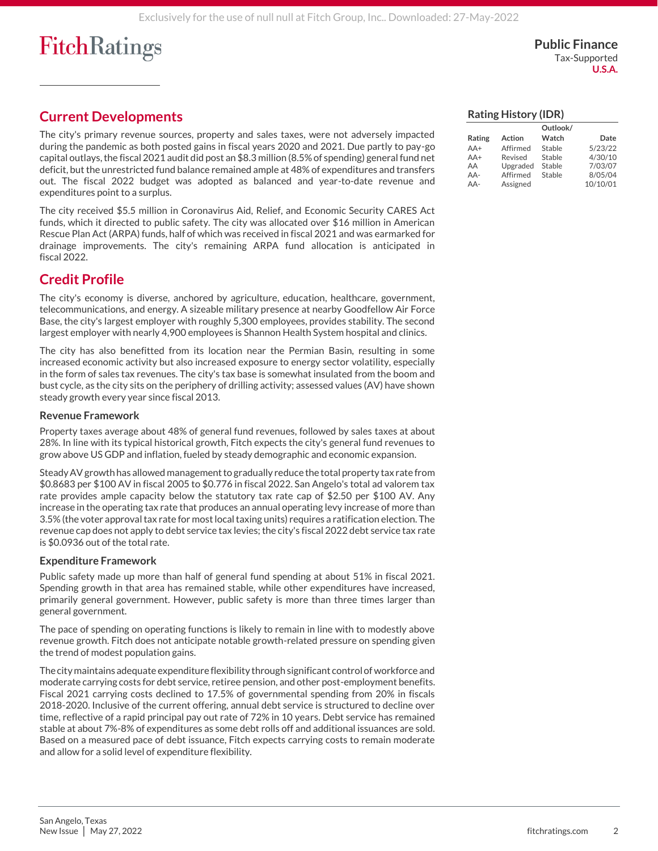**Public Finance** Tax-Supported **U.S.A.**

## **Current Developments**

The city's primary revenue sources, property and sales taxes, were not adversely impacted during the pandemic as both posted gains in fiscal years 2020 and 2021. Due partly to pay-go capital outlays, the fiscal 2021 audit did post an \$8.3 million (8.5% of spending) general fund net deficit, but the unrestricted fund balance remained ample at 48% of expenditures and transfers out. The fiscal 2022 budget was adopted as balanced and year-to-date revenue and expenditures point to a surplus.

The city received \$5.5 million in Coronavirus Aid, Relief, and Economic Security CARES Act funds, which it directed to public safety. The city was allocated over \$16 million in American Rescue Plan Act (ARPA) funds, half of which was received in fiscal 2021 and was earmarked for drainage improvements. The city's remaining ARPA fund allocation is anticipated in fiscal 2022.

### **Credit Profile**

The city's economy is diverse, anchored by agriculture, education, healthcare, government, telecommunications, and energy. A sizeable military presence at nearby Goodfellow Air Force Base, the city's largest employer with roughly 5,300 employees, provides stability. The second largest employer with nearly 4,900 employees is Shannon Health System hospital and clinics.

The city has also benefitted from its location near the Permian Basin, resulting in some increased economic activity but also increased exposure to energy sector volatility, especially in the form of sales tax revenues. The city's tax base is somewhat insulated from the boom and bust cycle, as the city sits on the periphery of drilling activity; assessed values (AV) have shown steady growth every year since fiscal 2013.

### **Revenue Framework**

Property taxes average about 48% of general fund revenues, followed by sales taxes at about 28%. In line with its typical historical growth, Fitch expects the city's general fund revenues to grow above US GDP and inflation, fueled by steady demographic and economic expansion.

Steady AV growth has allowed management to gradually reduce the total property tax rate from \$0.8683 per \$100 AV in fiscal 2005 to \$0.776 in fiscal 2022. San Angelo's total ad valorem tax rate provides ample capacity below the statutory tax rate cap of \$2.50 per \$100 AV. Any increase in the operating tax rate that produces an annual operating levy increase of more than 3.5% (the voter approval tax rate for most local taxing units) requires a ratification election. The revenue cap does not apply to debt service tax levies; the city's fiscal 2022 debt service tax rate is \$0.0936 out of the total rate.

### **Expenditure Framework**

Public safety made up more than half of general fund spending at about 51% in fiscal 2021. Spending growth in that area has remained stable, while other expenditures have increased, primarily general government. However, public safety is more than three times larger than general government.

The pace of spending on operating functions is likely to remain in line with to modestly above revenue growth. Fitch does not anticipate notable growth-related pressure on spending given the trend of modest population gains.

The city maintains adequate expenditure flexibility through significant control of workforce and moderate carrying costs for debt service, retiree pension, and other post-employment benefits. Fiscal 2021 carrying costs declined to 17.5% of governmental spending from 20% in fiscals 2018-2020. Inclusive of the current offering, annual debt service is structured to decline over time, reflective of a rapid principal pay out rate of 72% in 10 years. Debt service has remained stable at about 7%-8% of expenditures as some debt rolls off and additional issuances are sold. Based on a measured pace of debt issuance, Fitch expects carrying costs to remain moderate and allow for a solid level of expenditure flexibility.

| <b>Rating History (IDR)</b>            |  |
|----------------------------------------|--|
| $\sim$ $\cdot$ $\cdot$ $\cdot$ $\cdot$ |  |

|        |          | <b>OUTIOOK</b> |          |
|--------|----------|----------------|----------|
| Rating | Action   | Watch          | Date     |
| $AA+$  | Affirmed | Stable         | 5/23/22  |
| $AA+$  | Revised  | Stable         | 4/30/10  |
| AA     | Upgraded | Stable         | 7/03/07  |
| $AA-$  | Affirmed | Stable         | 8/05/04  |
| AA-    | Assigned |                | 10/10/01 |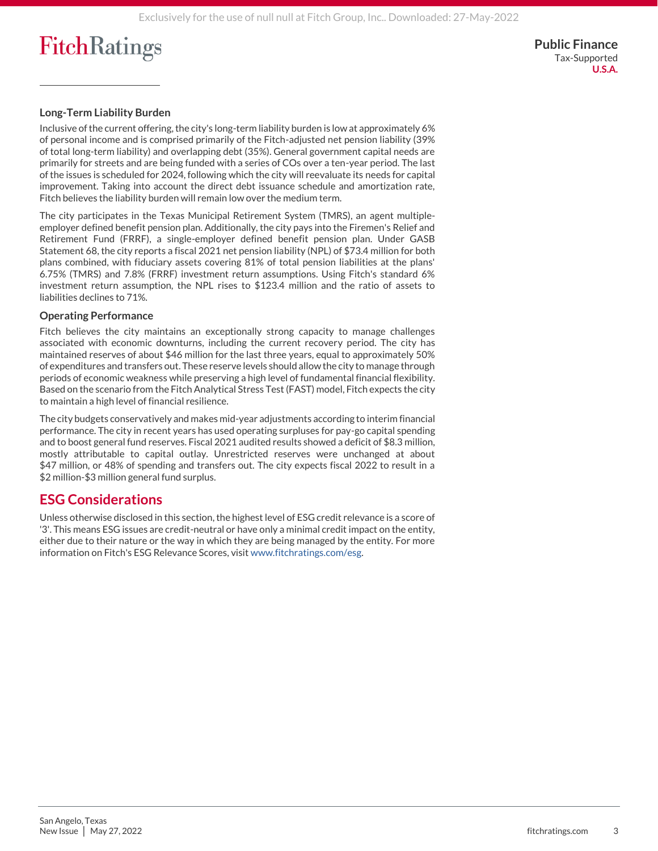**Public Finance** Tax-Supported **U.S.A.**

### **Long-Term Liability Burden**

Inclusive of the current offering, the city's long-term liability burden is low at approximately 6% of personal income and is comprised primarily of the Fitch-adjusted net pension liability (39% of total long-term liability) and overlapping debt (35%). General government capital needs are primarily for streets and are being funded with a series of COs over a ten-year period. The last of the issues is scheduled for 2024, following which the city will reevaluate its needs for capital improvement. Taking into account the direct debt issuance schedule and amortization rate, Fitch believes the liability burden will remain low over the medium term.

The city participates in the Texas Municipal Retirement System (TMRS), an agent multipleemployer defined benefit pension plan. Additionally, the city pays into the Firemen's Relief and Retirement Fund (FRRF), a single-employer defined benefit pension plan. Under GASB Statement 68, the city reports a fiscal 2021 net pension liability (NPL) of \$73.4 million for both plans combined, with fiduciary assets covering 81% of total pension liabilities at the plans' 6.75% (TMRS) and 7.8% (FRRF) investment return assumptions. Using Fitch's standard 6% investment return assumption, the NPL rises to \$123.4 million and the ratio of assets to liabilities declines to 71%.

#### **Operating Performance**

Fitch believes the city maintains an exceptionally strong capacity to manage challenges associated with economic downturns, including the current recovery period. The city has maintained reserves of about \$46 million for the last three years, equal to approximately 50% of expenditures and transfers out. These reserve levels should allow the city to manage through periods of economic weakness while preserving a high level of fundamental financial flexibility. Based on the scenario from the Fitch Analytical Stress Test (FAST) model, Fitch expects the city to maintain a high level of financial resilience.

The city budgets conservatively and makes mid-year adjustments according to interim financial performance. The city in recent years has used operating surpluses for pay-go capital spending and to boost general fund reserves. Fiscal 2021 audited results showed a deficit of \$8.3 million, mostly attributable to capital outlay. Unrestricted reserves were unchanged at about \$47 million, or 48% of spending and transfers out. The city expects fiscal 2022 to result in a \$2 million-\$3 million general fund surplus.

### **ESG Considerations**

Unless otherwise disclosed in this section, the highest level of ESG credit relevance is a score of '3'. This means ESG issues are credit-neutral or have only a minimal credit impact on the entity, either due to their nature or the way in which they are being managed by the entity. For more information on Fitch's ESG Relevance Scores, visi[t www.fitchratings.com/esg.](https://www.fitchratings.com/topics/esg)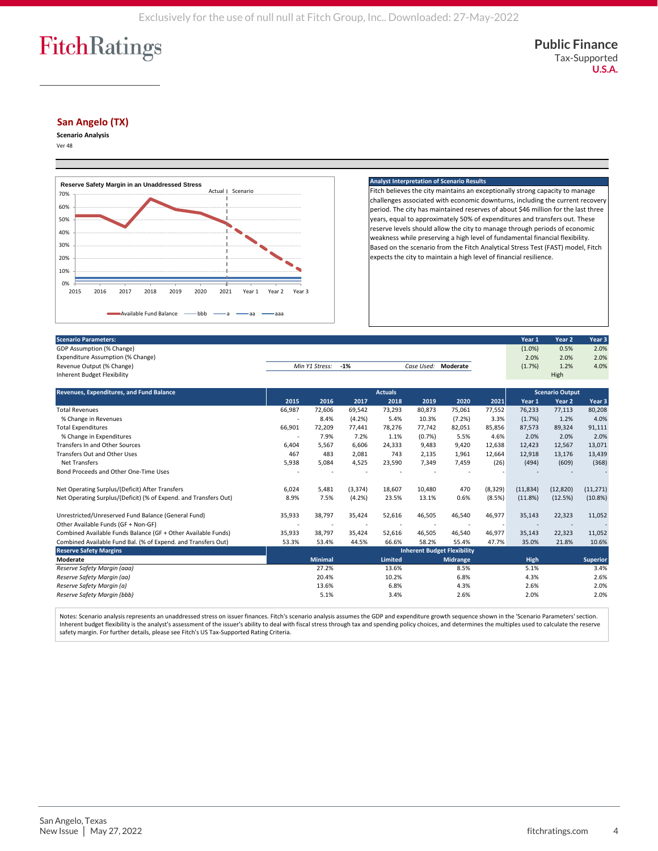#### **San Angelo (TX)**

**Scenario Analysis** Ver 48



#### **Analyst Interpretation of Scenario**

Fitch believes the city maintains an exceptionally strong capacity to manage challenges associated with economic downturns, including the current recovery period. The city has maintained reserves of about \$46 million for the last three years, equal to approximately 50% of expenditures and transfers out. These reserve levels should allow the city to manage through periods of economic weakness while preserving a high level of fundamental financial flexibility. Based on the scenario from the Fitch Analytical Stress Test (FAST) model, Fitch expects the city to maintain a high level of financial resilience.

| <b>Scenario Parameters:</b>       |                |       |                     | Year 1 | Year <sub>2</sub> | Year <sub>3</sub> |
|-----------------------------------|----------------|-------|---------------------|--------|-------------------|-------------------|
| GDP Assumption (% Change)         |                |       |                     | (1.0%) | 0.5%              | 2.0%              |
| Expenditure Assumption (% Change) |                |       |                     | 2.0%   | 2.0%              | 2.0%              |
| Revenue Output (% Change)         | Min Y1 Stress: | $-1%$ | Case Used: Moderate | (1.7%) | 1.2%              | 4.0%              |
| Inherent Budget Flexibility       |                |       |                     |        | High              |                   |

| Revenues, Expenditures, and Fund Balance                         | <b>Actuals</b>                     |                |          | <b>Scenario Output</b> |        |                 |         |             |           |                 |
|------------------------------------------------------------------|------------------------------------|----------------|----------|------------------------|--------|-----------------|---------|-------------|-----------|-----------------|
|                                                                  | 2015                               | 2016           | 2017     | 2018                   | 2019   | 2020            | 2021    | Year 1      | Year 2    | Year 3          |
| <b>Total Revenues</b>                                            | 66,987                             | 72,606         | 69,542   | 73,293                 | 80,873 | 75,061          | 77,552  | 76,233      | 77,113    | 80,208          |
| % Change in Revenues                                             |                                    | 8.4%           | (4.2%)   | 5.4%                   | 10.3%  | (7.2%)          | 3.3%    | (1.7%)      | 1.2%      | 4.0%            |
| <b>Total Expenditures</b>                                        | 66,901                             | 72,209         | 77,441   | 78,276                 | 77,742 | 82,051          | 85,856  | 87,573      | 89,324    | 91,111          |
| % Change in Expenditures                                         |                                    | 7.9%           | 7.2%     | 1.1%                   | (0.7%  | 5.5%            | 4.6%    | 2.0%        | 2.0%      | 2.0%            |
| Transfers In and Other Sources                                   | 6,404                              | 5,567          | 6,606    | 24,333                 | 9,483  | 9,420           | 12,638  | 12,423      | 12,567    | 13,071          |
| Transfers Out and Other Uses                                     | 467                                | 483            | 2,081    | 743                    | 2,135  | 1.961           | 12,664  | 12,918      | 13,176    | 13,439          |
| <b>Net Transfers</b>                                             | 5,938                              | 5,084          | 4,525    | 23,590                 | 7,349  | 7,459           | (26)    | (494)       | (609)     | (368)           |
| Bond Proceeds and Other One-Time Uses                            |                                    |                |          |                        |        |                 |         |             |           |                 |
| Net Operating Surplus/(Deficit) After Transfers                  | 6,024                              | 5,481          | (3, 374) | 18,607                 | 10,480 | 470             | (8,329) | (11, 834)   | (12, 820) | (11, 271)       |
| Net Operating Surplus/(Deficit) (% of Expend. and Transfers Out) | 8.9%                               | 7.5%           | (4.2%)   | 23.5%                  | 13.1%  | 0.6%            | (8.5%)  | (11.8%)     | (12.5%)   | (10.8%)         |
| Unrestricted/Unreserved Fund Balance (General Fund)              | 35,933                             | 38,797         | 35,424   | 52,616                 | 46,505 | 46,540          | 46,977  | 35,143      | 22,323    | 11,052          |
| Other Available Funds (GF + Non-GF)                              |                                    |                |          |                        |        |                 |         |             |           |                 |
| Combined Available Funds Balance (GF + Other Available Funds)    | 35,933                             | 38,797         | 35,424   | 52,616                 | 46,505 | 46,540          | 46,977  | 35,143      | 22,323    | 11,052          |
| Combined Available Fund Bal. (% of Expend. and Transfers Out)    | 53.3%                              | 53.4%          | 44.5%    | 66.6%                  | 58.2%  | 55.4%           | 47.7%   | 35.0%       | 21.8%     | 10.6%           |
| <b>Reserve Safety Margins</b>                                    | <b>Inherent Budget Flexibility</b> |                |          |                        |        |                 |         |             |           |                 |
| Moderate                                                         |                                    | <b>Minimal</b> |          | <b>Limited</b>         |        | <b>Midrange</b> |         | <b>High</b> |           | <b>Superior</b> |
| Reserve Safety Margin (aaa)                                      |                                    | 27.2%          |          | 13.6%                  |        | 8.5%            |         | 5.1%        |           | 3.4%            |
| Reserve Safety Margin (aa)                                       |                                    | 20.4%          |          | 10.2%                  |        | 6.8%            |         | 4.3%        |           | 2.6%            |
| Reserve Safety Margin (a)                                        |                                    | 13.6%          |          | 6.8%                   |        | 4.3%            |         | 2.6%        |           | 2.0%            |
| Reserve Safety Margin (bbb)                                      |                                    | 5.1%           |          | 3.4%                   |        | 2.6%            |         | 2.0%        |           | 2.0%            |

Notes: Scenario analysis represents an unaddressed stress on issuer finances. Fitch's scenario analysis assumes the GDP and expenditure growth sequence shown in the 'Scenario Parameters' section. Inherent budget flexibility is the analyst's assessment of the issuer's ability to deal with fiscal stress through tax and spending policy choices, and determines the multiples used to calculate the reserve safety margin. For further details, please see Fitch's US Tax-Supported Rating Criteria.